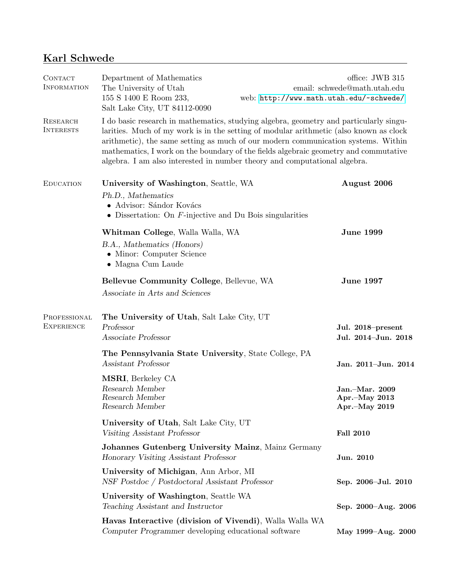# Karl Schwede

| <b>CONTACT</b><br><b>INFORMATION</b> | Department of Mathematics<br>The University of Utah<br>155 S 1400 E Room 233,<br>Salt Lake City, UT 84112-0090                                         | office: JWB 315<br>email: schwede@math.utah.edu<br>web: http://www.math.utah.edu/~schwede/                                                                                                                                                                                                                                                                    |  |
|--------------------------------------|--------------------------------------------------------------------------------------------------------------------------------------------------------|---------------------------------------------------------------------------------------------------------------------------------------------------------------------------------------------------------------------------------------------------------------------------------------------------------------------------------------------------------------|--|
| <b>RESEARCH</b><br><b>INTERESTS</b>  | algebra. I am also interested in number theory and computational algebra.                                                                              | I do basic research in mathematics, studying algebra, geometry and particularly singu-<br>larities. Much of my work is in the setting of modular arithmetic (also known as clock<br>arithmetic), the same setting as much of our modern communication systems. Within<br>mathematics, I work on the boundary of the fields algebraic geometry and commutative |  |
| <b>EDUCATION</b>                     | University of Washington, Seattle, WA<br>Ph.D., Mathematics<br>• Advisor: Sándor Kovács<br>• Dissertation: On $F$ -injective and Du Bois singularities | August 2006                                                                                                                                                                                                                                                                                                                                                   |  |
|                                      | Whitman College, Walla Walla, WA<br>B.A., Mathematics (Honors)<br>• Minor: Computer Science<br>• Magna Cum Laude                                       | <b>June 1999</b>                                                                                                                                                                                                                                                                                                                                              |  |
|                                      | Bellevue Community College, Bellevue, WA<br>Associate in Arts and Sciences                                                                             | <b>June 1997</b>                                                                                                                                                                                                                                                                                                                                              |  |
| PROFESSIONAL<br><b>EXPERIENCE</b>    | The University of Utah, Salt Lake City, UT<br>Professor<br>Associate Professor                                                                         | Jul. 2018–present<br>Jul. 2014-Jun. 2018                                                                                                                                                                                                                                                                                                                      |  |
|                                      | The Pennsylvania State University, State College, PA<br>Assistant Professor                                                                            | Jan. 2011-Jun. 2014                                                                                                                                                                                                                                                                                                                                           |  |
|                                      | MSRI, Berkeley CA<br>Research Member<br>Research Member<br>Research Member                                                                             | Jan.-Mar. 2009<br>Apr.-May 2013<br>Apr.-May 2019                                                                                                                                                                                                                                                                                                              |  |
|                                      | University of Utah, Salt Lake City, UT<br>Visiting Assistant Professor                                                                                 | <b>Fall 2010</b>                                                                                                                                                                                                                                                                                                                                              |  |
|                                      | Johannes Gutenberg University Mainz, Mainz Germany<br>Honorary Visiting Assistant Professor                                                            | Jun. 2010                                                                                                                                                                                                                                                                                                                                                     |  |
|                                      | University of Michigan, Ann Arbor, MI<br>NSF Postdoc / Postdoctoral Assistant Professor                                                                | Sep. 2006-Jul. 2010                                                                                                                                                                                                                                                                                                                                           |  |
|                                      | University of Washington, Seattle WA<br>Teaching Assistant and Instructor                                                                              | Sep. 2000-Aug. 2006                                                                                                                                                                                                                                                                                                                                           |  |
|                                      | Havas Interactive (division of Vivendi), Walla Walla WA<br>Computer Programmer developing educational software                                         | May 1999-Aug. 2000                                                                                                                                                                                                                                                                                                                                            |  |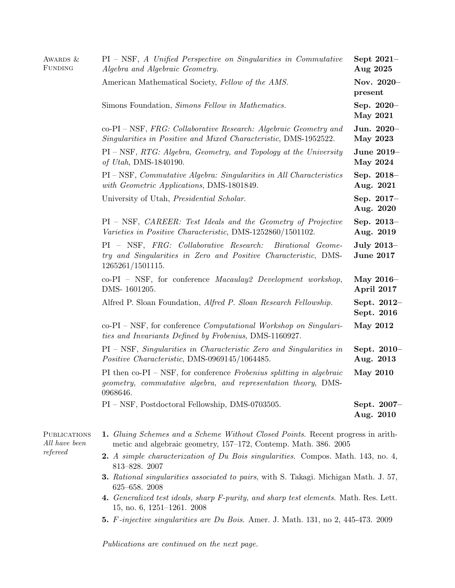| AWARDS &<br>FUNDING                  | $PI - NSF$ , A Unified Perspective on Singularities in Commutative<br>Algebra and Algebraic Geometry.                                                     | Sept $2021-$<br>Aug 2025       |
|--------------------------------------|-----------------------------------------------------------------------------------------------------------------------------------------------------------|--------------------------------|
|                                      | American Mathematical Society, Fellow of the AMS.                                                                                                         | Nov. 2020-<br>present          |
|                                      | Simons Foundation, Simons Fellow in Mathematics.                                                                                                          | Sep. 2020-<br><b>May 2021</b>  |
|                                      | $co-PI-NSF$ , FRG: Collaborative Research: Algebraic Geometry and<br>Singularities in Positive and Mixed Characteristic, DMS-1952522.                     | Jun. 2020-<br><b>May 2023</b>  |
|                                      | $PI - NSF$ , $RTG$ : Algebra, Geometry, and Topology at the University<br>of Utah, DMS-1840190.                                                           | June 2019-<br><b>May 2024</b>  |
|                                      | PI – NSF, Commutative Algebra: Singularities in All Characteristics<br>with Geometric Applications, DMS-1801849.                                          | Sep. 2018-<br>Aug. 2021        |
|                                      | University of Utah, <i>Presidential Scholar</i> .                                                                                                         | Sep. 2017-<br>Aug. 2020        |
|                                      | $PI - NSF$ , CAREER: Test Ideals and the Geometry of Projective<br>Varieties in Positive Characteristic, DMS-1252860/1501102.                             | Sep. 2013-<br>Aug. 2019        |
|                                      | PI – NSF, FRG: Collaborative Research:<br>Birational Geome-<br>try and Singularities in Zero and Positive Characteristic, DMS-<br>1265261/1501115.        | July 2013-<br><b>June 2017</b> |
|                                      | $co-PI - NSF$ , for conference <i>Macaulay2 Development workshop</i> ,<br>DMS-1601205.                                                                    | May $2016-$<br>April 2017      |
|                                      | Alfred P. Sloan Foundation, Alfred P. Sloan Research Fellowship.                                                                                          | Sept. 2012-<br>Sept. 2016      |
|                                      | $co-PI-NSF$ , for conference <i>Computational Workshop on Singulari</i> -<br>ties and Invariants Defined by Frobenius, DMS-1160927.                       | <b>May 2012</b>                |
|                                      | $PI - NSF$ , Singularities in Characteristic Zero and Singularities in<br>Positive Characteristic, DMS-0969145/1064485.                                   | Sept. $2010-$<br>Aug. 2013     |
|                                      | PI then $co-PI - NSF$ , for conference Frobenius splitting in algebraic<br>geometry, commutative algebra, and representation theory, DMS-<br>0968646.     | <b>May 2010</b>                |
|                                      | PI – NSF, Postdoctoral Fellowship, DMS-0703505.                                                                                                           | Sept. 2007-<br>Aug. 2010       |
| <b>PUBLICATIONS</b><br>All have been | <b>1.</b> Gluing Schemes and a Scheme Without Closed Points. Recent progress in arith-<br>metic and algebraic geometry, 157–172, Contemp. Math. 386. 2005 |                                |
| refereed                             |                                                                                                                                                           |                                |

- 2. A simple characterization of Du Bois singularities. Compos. Math. 143, no. 4, 813–828. 2007
- 3. Rational singularities associated to pairs, with S. Takagi. Michigan Math. J. 57, 625–658. 2008
- 4. Generalized test ideals, sharp F-purity, and sharp test elements. Math. Res. Lett. 15, no. 6, 1251–1261. 2008
- 5. F-injective singularities are Du Bois. Amer. J. Math. 131, no 2, 445-473. 2009

Publications are continued on the next page.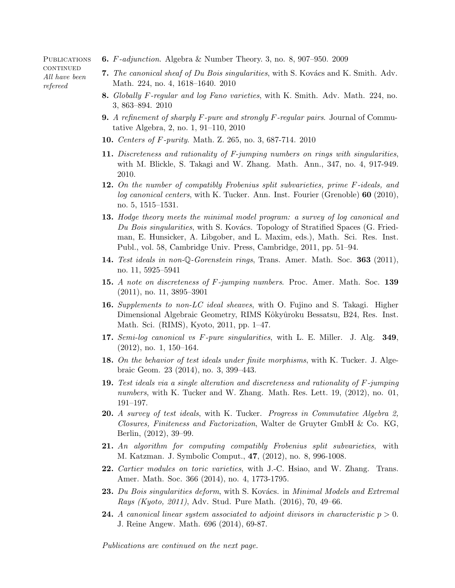**PUBLICATIONS CONTINUED** All have been refereed

- 6. F-adjunction. Algebra & Number Theory. 3, no. 8, 907–950. 2009
- 7. The canonical sheaf of Du Bois singularities, with S. Kovács and K. Smith. Adv. Math. 224, no. 4, 1618–1640. 2010
- 8. Globally F-regular and log Fano varieties, with K. Smith. Adv. Math. 224, no. 3, 863–894. 2010
- **9.** A refinement of sharply  $F$ -pure and strongly  $F$ -regular pairs. Journal of Commutative Algebra, 2, no. 1, 91–110, 2010
- 10. Centers of F-purity. Math. Z. 265, no. 3, 687-714. 2010
- 11. Discreteness and rationality of F-jumping numbers on rings with singularities, with M. Blickle, S. Takagi and W. Zhang. Math. Ann., 347, no. 4, 917-949. 2010.
- 12. On the number of compatibly Frobenius split subvarieties, prime F-ideals, and log canonical centers, with K. Tucker. Ann. Inst. Fourier (Grenoble) 60 (2010), no. 5, 1515–1531.
- 13. Hodge theory meets the minimal model program: a survey of log canonical and Du Bois singularities, with S. Kovács. Topology of Stratified Spaces (G. Friedman, E. Hunsicker, A. Libgober, and L. Maxim, eds.), Math. Sci. Res. Inst. Publ., vol. 58, Cambridge Univ. Press, Cambridge, 2011, pp. 51–94.
- 14. Test ideals in non-Q-Gorenstein rings, Trans. Amer. Math. Soc. 363 (2011), no. 11, 5925–5941
- 15. A note on discreteness of F-jumping numbers. Proc. Amer. Math. Soc. 139 (2011), no. 11, 3895–3901
- 16. Supplements to non-LC ideal sheaves, with O. Fujino and S. Takagi. Higher Dimensional Algebraic Geometry, RIMS Kôkyûroku Bessatsu, B24, Res. Inst. Math. Sci. (RIMS), Kyoto, 2011, pp. 1–47.
- 17. Semi-log canonical vs F-pure singularities, with L. E. Miller. J. Alg. 349, (2012), no. 1, 150–164.
- 18. On the behavior of test ideals under finite morphisms, with K. Tucker. J. Algebraic Geom. 23 (2014), no. 3, 399–443.
- 19. Test ideals via a single alteration and discreteness and rationality of F-jumping numbers, with K. Tucker and W. Zhang. Math. Res. Lett. 19, (2012), no. 01, 191–197.
- 20. A survey of test ideals, with K. Tucker. Progress in Commutative Algebra 2, Closures, Finiteness and Factorization, Walter de Gruyter GmbH & Co. KG, Berlin, (2012), 39–99.
- 21. An algorithm for computing compatibly Frobenius split subvarieties, with M. Katzman. J. Symbolic Comput., 47, (2012), no. 8, 996-1008.
- 22. Cartier modules on toric varieties, with J.-C. Hsiao, and W. Zhang. Trans. Amer. Math. Soc. 366 (2014), no. 4, 1773-1795.
- **23.** Du Bois singularities deform, with S. Kovács. in Minimal Models and Extremal Rays (Kyoto, 2011), Adv. Stud. Pure Math. (2016), 70, 49–66.
- **24.** A canonical linear system associated to adjoint divisors in characteristic  $p > 0$ . J. Reine Angew. Math. 696 (2014), 69-87.

Publications are continued on the next page.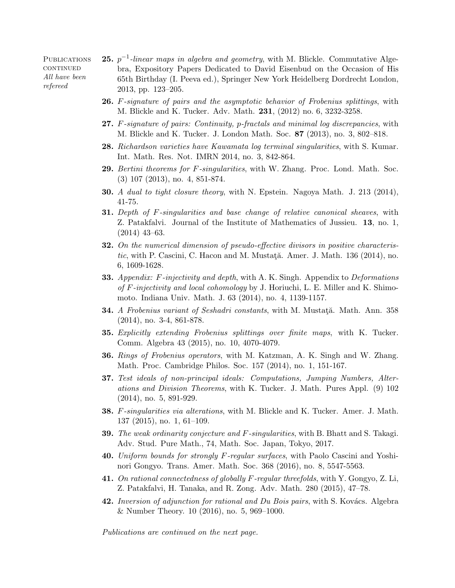**PUBLICATIONS CONTINUED** All have been refereed

- **25.**  $p^{-1}$ -linear maps in algebra and geometry, with M. Blickle. Commutative Algebra, Expository Papers Dedicated to David Eisenbud on the Occasion of His 65th Birthday (I. Peeva ed.), Springer New York Heidelberg Dordrecht London, 2013, pp. 123–205.
- 26. F-signature of pairs and the asymptotic behavior of Frobenius splittings, with M. Blickle and K. Tucker. Adv. Math. 231, (2012) no. 6, 3232-3258.
- 27. F-signature of pairs: Continuity, p-fractals and minimal log discrepancies, with M. Blickle and K. Tucker. J. London Math. Soc. 87 (2013), no. 3, 802–818.
- 28. Richardson varieties have Kawamata log terminal singularities, with S. Kumar. Int. Math. Res. Not. IMRN 2014, no. 3, 842-864.
- 29. Bertini theorems for F-singularities, with W. Zhang. Proc. Lond. Math. Soc. (3) 107 (2013), no. 4, 851-874.
- 30. A dual to tight closure theory, with N. Epstein. Nagoya Math. J. 213 (2014), 41-75.
- **31.** Depth of F-singularities and base change of relative canonical sheaves, with Z. Patakfalvi. Journal of the Institute of Mathematics of Jussieu. 13, no. 1, (2014) 43–63.
- 32. On the numerical dimension of pseudo-effective divisors in positive characteristic, with P. Cascini, C. Hacon and M. Mustată. Amer. J. Math.  $136$  (2014), no. 6, 1609-1628.
- **33.** Appendix: F-injectivity and depth, with A. K. Singh. Appendix to Deformations of F-injectivity and local cohomology by J. Horiuchi, L. E. Miller and K. Shimomoto. Indiana Univ. Math. J. 63 (2014), no. 4, 1139-1157.
- 34. A Frobenius variant of Seshadri constants, with M. Mustată. Math. Ann. 358 (2014), no. 3-4, 861-878.
- 35. Explicitly extending Frobenius splittings over finite maps, with K. Tucker. Comm. Algebra 43 (2015), no. 10, 4070-4079.
- 36. Rings of Frobenius operators, with M. Katzman, A. K. Singh and W. Zhang. Math. Proc. Cambridge Philos. Soc. 157 (2014), no. 1, 151-167.
- 37. Test ideals of non-principal ideals: Computations, Jumping Numbers, Alterations and Division Theorems, with K. Tucker. J. Math. Pures Appl. (9) 102 (2014), no. 5, 891-929.
- 38. F-singularities via alterations, with M. Blickle and K. Tucker. Amer. J. Math. 137 (2015), no. 1, 61–109.
- 39. The weak ordinarity conjecture and F-singularities, with B. Bhatt and S. Takagi. Adv. Stud. Pure Math., 74, Math. Soc. Japan, Tokyo, 2017.
- 40. Uniform bounds for strongly F-regular surfaces, with Paolo Cascini and Yoshinori Gongyo. Trans. Amer. Math. Soc. 368 (2016), no. 8, 5547-5563.
- 41. On rational connectedness of globally F-regular threefolds, with Y. Gongyo, Z. Li, Z. Patakfalvi, H. Tanaka, and R. Zong. Adv. Math. 280 (2015), 47–78.
- 42. Inversion of adjunction for rational and Du Bois pairs, with S. Kovács. Algebra & Number Theory. 10 (2016), no. 5, 969–1000.

Publications are continued on the next page.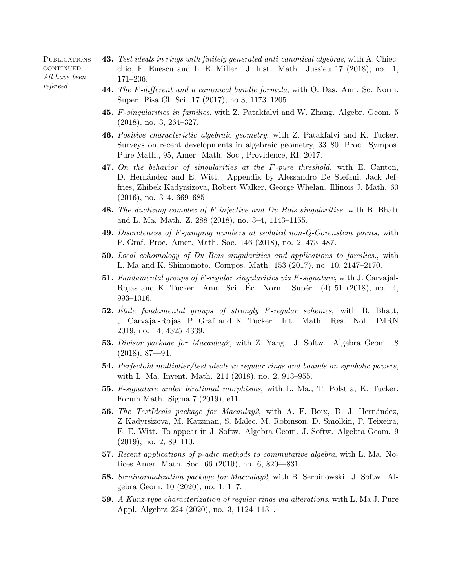**PUBLICATIONS**  $\mbox{CONTINUED}$ All have been refereed

- 43. Test ideals in rings with finitely generated anti-canonical algebras, with A. Chiecchio, F. Enescu and L. E. Miller. J. Inst. Math. Jussieu 17 (2018), no. 1, 171–206.
- 44. The F-different and a canonical bundle formula, with O. Das. Ann. Sc. Norm. Super. Pisa Cl. Sci. 17 (2017), no 3, 1173–1205
- 45. F-singularities in families, with Z. Patakfalvi and W. Zhang. Algebr. Geom. 5 (2018), no. 3, 264–327.
- 46. Positive characteristic algebraic geometry, with Z. Patakfalvi and K. Tucker. Surveys on recent developments in algebraic geometry, 33–80, Proc. Sympos. Pure Math., 95, Amer. Math. Soc., Providence, RI, 2017.
- **47.** On the behavior of singularities at the  $F$ -pure threshold, with E. Canton, D. Hern´andez and E. Witt. Appendix by Alessandro De Stefani, Jack Jeffries, Zhibek Kadyrsizova, Robert Walker, George Whelan. Illinois J. Math. 60 (2016), no. 3–4, 669–685
- 48. The dualizing complex of F-injective and Du Bois singularities, with B. Bhatt and L. Ma. Math. Z. 288 (2018), no. 3–4, 1143–1155.
- 49. Discreteness of F-jumping numbers at isolated non-Q-Gorenstein points, with P. Graf. Proc. Amer. Math. Soc. 146 (2018), no. 2, 473–487.
- 50. Local cohomology of Du Bois singularities and applications to families., with L. Ma and K. Shimomoto. Compos. Math. 153 (2017), no. 10, 2147–2170.
- 51. Fundamental groups of F-regular singularities via F-signature, with J. Carvajal-Rojas and K. Tucker. Ann. Sci. Ec. Norm. Supér.  $(4)$  51  $(2018)$ , no. 4, 993–1016.
- 52. Etale fundamental groups of strongly  $F$ -regular schemes, with B. Bhatt, J. Carvajal-Rojas, P. Graf and K. Tucker. Int. Math. Res. Not. IMRN 2019, no. 14, 4325–4339.
- 53. Divisor package for Macaulay2, with Z. Yang. J. Softw. Algebra Geom. 8  $(2018), 87 - 94.$
- 54. Perfectoid multiplier/test ideals in regular rings and bounds on symbolic powers, with L. Ma. Invent. Math. 214 (2018), no. 2, 913–955.
- 55. F-signature under birational morphisms, with L. Ma., T. Polstra, K. Tucker. Forum Math. Sigma 7 (2019), e11.
- 56. The TestIdeals package for Macaulay2, with A. F. Boix, D. J. Hernández, Z Kadyrsizova, M. Katzman, S. Malec, M. Robinson, D. Smolkin, P. Teixeira, E. E. Witt. To appear in J. Softw. Algebra Geom. J. Softw. Algebra Geom. 9 (2019), no. 2, 89–110.
- 57. Recent applications of p-adic methods to commutative algebra, with L. Ma. Notices Amer. Math. Soc. 66 (2019), no. 6, 820—831.
- 58. Seminormalization package for Macaulay2, with B. Serbinowski. J. Softw. Algebra Geom. 10 (2020), no. 1, 1–7.
- 59. A Kunz-type characterization of regular rings via alterations, with L. Ma J. Pure Appl. Algebra 224 (2020), no. 3, 1124–1131.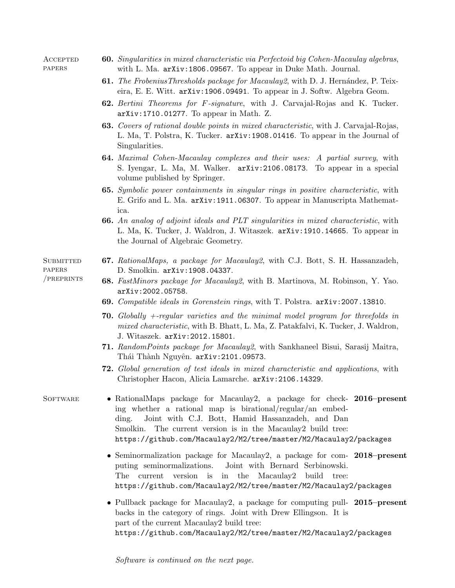**ACCEPTED PAPERS** 

- 60. Singularities in mixed characteristic via Perfectoid big Cohen-Macaulay algebras, with L. Ma. arXiv:1806.09567. To appear in Duke Math. Journal.
- 61. The FrobeniusThresholds package for Macaulay 2, with D. J. Hernández, P. Teixeira, E. E. Witt. arXiv:1906.09491. To appear in J. Softw. Algebra Geom.
- 62. Bertini Theorems for F-signature, with J. Carvajal-Rojas and K. Tucker. arXiv:1710.01277. To appear in Math. Z.
- 63. Covers of rational double points in mixed characteristic, with J. Carvajal-Rojas, L. Ma, T. Polstra, K. Tucker. arXiv:1908.01416. To appear in the Journal of Singularities.
- 64. Maximal Cohen-Macaulay complexes and their uses: A partial survey, with S. Iyengar, L. Ma, M. Walker. arXiv:2106.08173. To appear in a special volume published by Springer.
- 65. Symbolic power containments in singular rings in positive characteristic, with E. Grifo and L. Ma. arXiv:1911.06307. To appear in Manuscripta Mathematica.
- 66. An analog of adjoint ideals and PLT singularities in mixed characteristic, with L. Ma, K. Tucker, J. Waldron, J. Witaszek. arXiv:1910.14665. To appear in the Journal of Algebraic Geometry.

### **SUBMITTED** papers /preprints

- 67. RationalMaps, a package for Macaulay2, with C.J. Bott, S. H. Hassanzadeh, D. Smolkin. arXiv:1908.04337.
- 68. FastMinors package for Macaulay2, with B. Martinova, M. Robinson, Y. Yao. arXiv:2002.05758.
- 69. Compatible ideals in Gorenstein rings, with T. Polstra. arXiv:2007.13810.
- **70.** Globally  $+$ -regular varieties and the minimal model program for threefolds in mixed characteristic, with B. Bhatt, L. Ma, Z. Patakfalvi, K. Tucker, J. Waldron, J. Witaszek. arXiv:2012.15801.
- 71. RandomPoints package for Macaulay2, with Sankhaneel Bisui, Sarasij Maitra, Thái Thành Nguyên. arXiv:2101.09573.
- 72. Global generation of test ideals in mixed characteristic and applications, with Christopher Hacon, Alicia Lamarche. arXiv:2106.14329.

- SOFTWARE RationalMaps package for Macaulay2, a package for check- 2016–present ing whether a rational map is birational/regular/an embedding. Joint with C.J. Bott, Hamid Hassanzadeh, and Dan Smolkin. The current version is in the Macaulay 2 build tree: https://github.com/Macaulay2/M2/tree/master/M2/Macaulay2/packages
	- Seminormalization package for Macaulay2, a package for com-2018–present puting seminormalizations. Joint with Bernard Serbinowski. The current version is in the Macaulay2 build tree: https://github.com/Macaulay2/M2/tree/master/M2/Macaulay2/packages
	- Pullback package for Macaulay2, a package for computing pull- 2015-present backs in the category of rings. Joint with Drew Ellingson. It is part of the current Macaulay2 build tree: https://github.com/Macaulay2/M2/tree/master/M2/Macaulay2/packages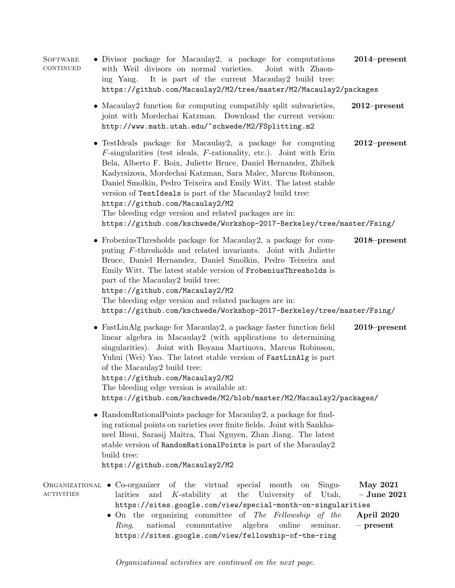**SOFTWARE CONTINUED** • Divisor package for Macaulay2, a package for computations with Weil divisors on normal varieties. Joint with Zhaoning Yang. It is part of the current Macaulay2 build tree: https://github.com/Macaulay2/M2/tree/master/M2/Macaulay2/packages 2014–present • Macaulay2 function for computing compatibly split subvarieties, joint with Mordechai Katzman. Download the current version: http://www.math.utah.edu/~schwede/M2/FSplitting.m2 2012–present • TestIdeals package for Macaulay2, a package for computing  $F$ -singularities (test ideals,  $F$ -rationality, etc.). Joint with Erin Bela, Alberto F. Boix, Juliette Bruce, Daniel Hernandez, Zhibek Kadyrsizova, Mordechai Katzman, Sara Malec, Marcus Robinson, Daniel Smolkin, Pedro Teixeira and Emily Witt. The latest stable version of TestIdeals is part of the Macaulay2 build tree: https://github.com/Macaulay2/M2 The bleeding edge version and related packages are in: https://github.com/kschwede/Workshop-2017-Berkeley/tree/master/Fsing/ 2012–present • FrobeniusThresholds package for Macaulay2, a package for computing F-thresholds and related invariants. Joint with Juliette Bruce, Daniel Hernandez, Daniel Smolkin, Pedro Teixeira and Emily Witt. The latest stable version of FrobeniusThresholds is part of the Macaulay2 build tree: https://github.com/Macaulay2/M2 The bleeding edge version and related packages are in: https://github.com/kschwede/Workshop-2017-Berkeley/tree/master/Fsing/ 2018–present • FastLinAlg package for Macaulay2, a package faster function field linear algebra in Macaulay2 (with applications to determining singularities). Joint with Boyana Martinova, Marcus Robinson, Yuhui (Wei) Yao. The latest stable version of FastLinAlg is part of the Macaulay2 build tree: https://github.com/Macaulay2/M2 The bleeding edge version is available at: https://github.com/kschwede/M2/blob/master/M2/Macaulay2/packages/ 2019–present • RandomRationalPoints package for Macaulay2, a package for finding rational points on varieties over finite fields. Joint with Sankhaneel Bisui, Sarasij Maitra, Thai Nguyen, Zhan Jiang. The latest stable version of RandomRationalPoints is part of the Macaulay2 build tree: https://github.com/Macaulay2/M2 ORGANIZATIONAL • Co-organizer **ACTIVITIES** of the virtual special month on Singularities and K-stability at the University of Utah, https://sites.google.com/view/special-month-on-singularities May 2021 – June 2021 • On the organizing committee of The Fellowship of the Ring, national commutative algebra online seminar. https://sites.google.com/view/fellowship-of-the-ring April 2020 – present

Organizational activities are continued on the next page.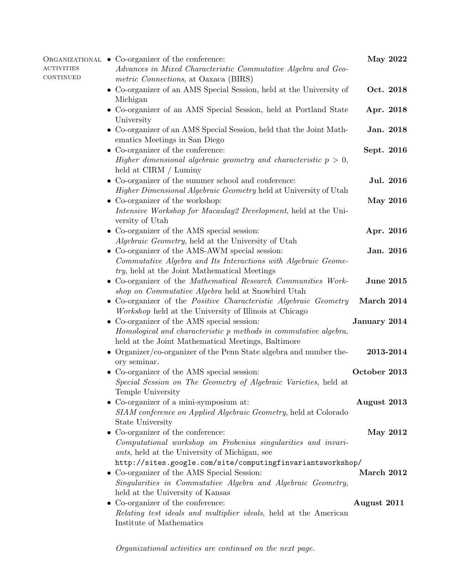| <b>ACTIVITIES</b><br>CONTINUED | ORGANIZATIONAL • Co-organizer of the conference:<br>Advances in Mixed Characteristic Commutative Algebra and Geo-<br>metric Connections, at Oaxaca (BIRS)                                                               | May 2022         |           |
|--------------------------------|-------------------------------------------------------------------------------------------------------------------------------------------------------------------------------------------------------------------------|------------------|-----------|
|                                | • Co-organizer of an AMS Special Session, held at the University of<br>Michigan                                                                                                                                         | Oct. 2018        |           |
|                                | • Co-organizer of an AMS Special Session, held at Portland State<br>University                                                                                                                                          | Apr. 2018        |           |
|                                | Co-organizer of an AMS Special Session, held that the Joint Math-<br>ematics Meetings in San Diego                                                                                                                      | Jan. 2018        |           |
|                                | • Co-organizer of the conference:<br>Higher dimensional algebraic geometry and characteristic $p > 0$ ,                                                                                                                 | Sept. 2016       |           |
|                                | held at CIRM / Luminy<br>$\bullet\,$ Co-organizer of the summer school and conference:<br>Higher Dimensional Algebraic Geometry held at University of Utah                                                              |                  | Jul. 2016 |
|                                | Co-organizer of the workshop:<br>Intensive Workshop for Macaulay2 Development, held at the Uni-<br>versity of Utah                                                                                                      | <b>May 2016</b>  |           |
|                                | • Co-organizer of the AMS special session:<br><i>Algebraic Geometry</i> , held at the University of Utah                                                                                                                | Apr. 2016        |           |
|                                | • Co-organizer of the AMS-AWM special session:<br>Commutative Algebra and Its Interactions with Algebraic Geome-<br>try, held at the Joint Mathematical Meetings                                                        | Jan. 2016        |           |
|                                | Co-organizer of the Mathematical Research Communities Work-<br>$\bullet$<br>shop on Commutative Algebra held at Snowbird Utah                                                                                           | <b>June 2015</b> |           |
|                                | • Co-organizer of the <i>Positive Characteristic Algebraic Geometry</i><br><i>Workshop</i> held at the University of Illinois at Chicago                                                                                | March 2014       |           |
|                                | $\bullet\,$ Co-organizer of the AMS special session:<br>Homological and characteristic p methods in commutative algebra,<br>held at the Joint Mathematical Meetings, Baltimore                                          | January 2014     |           |
|                                | Organizer/co-organizer of the Penn State algebra and number the-<br>ory seminar.                                                                                                                                        | 2013-2014        |           |
|                                | • Co-organizer of the AMS special session:<br>Special Session on The Geometry of Algebraic Varieties, held at<br>Temple University                                                                                      | October 2013     |           |
|                                | Co-organizer of a mini-symposium at:<br>SIAM conference on Applied Algebraic Geometry, held at Colorado<br>State University                                                                                             | August 2013      |           |
|                                | Co-organizer of the conference:<br>$\bullet$<br>Computational workshop on Frobenius singularities and invari-<br>ants, held at the University of Michigan, see                                                          | <b>May 2012</b>  |           |
|                                | http://sites.google.com/site/computingfinvariantsworkshop/<br>Co-organizer of the AMS Special Session:<br>$\bullet$<br>Singularities in Commutative Algebra and Algebraic Geometry,<br>held at the University of Kansas | March 2012       |           |
|                                | • Co-organizer of the conference:<br><i>Relating test ideals and multiplier ideals, held at the American</i><br>Institute of Mathematics                                                                                | August 2011      |           |

Organizational activities are continued on the next page.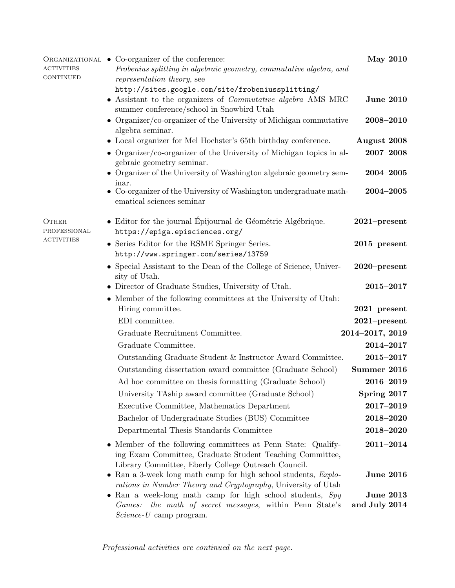| <b>ACTIVITIES</b>            | ORGANIZATIONAL • Co-organizer of the conference:<br>Frobenius splitting in algebraic geometry, commutative algebra, and                                                         | <b>May 2010</b>  |
|------------------------------|---------------------------------------------------------------------------------------------------------------------------------------------------------------------------------|------------------|
| <b>CONTINUED</b>             | representation theory, see                                                                                                                                                      |                  |
|                              | http://sites.google.com/site/frobeniussplitting/<br>• Assistant to the organizers of <i>Commutative algebra</i> AMS MRC<br>summer conference/school in Snowbird Utah            | <b>June 2010</b> |
|                              | • Organizer/co-organizer of the University of Michigan commutative<br>algebra seminar.                                                                                          | 2008-2010        |
|                              | • Local organizer for Mel Hochster's 65th birthday conference.                                                                                                                  | August 2008      |
|                              | • Organizer/co-organizer of the University of Michigan topics in al-<br>gebraic geometry seminar.                                                                               | $2007 - 2008$    |
|                              | • Organizer of the University of Washington algebraic geometry sem-<br>inar.                                                                                                    | $2004 - 2005$    |
|                              | • Co-organizer of the University of Washington undergraduate math-<br>ematical sciences seminar                                                                                 | $2004 - 2005$    |
| <b>OTHER</b><br>PROFESSIONAL | • Editor for the journal Épijournal de Géométrie Algébrique.<br>https://epiga.episciences.org/                                                                                  | $2021$ -present  |
| <b>ACTIVITIES</b>            | • Series Editor for the RSME Springer Series.<br>http://www.springer.com/series/13759                                                                                           | $2015$ -present  |
|                              | • Special Assistant to the Dean of the College of Science, Univer-<br>sity of Utah.                                                                                             | $2020$ -present  |
|                              | • Director of Graduate Studies, University of Utah.                                                                                                                             | $2015 - 2017$    |
|                              | • Member of the following committees at the University of Utah:                                                                                                                 |                  |
|                              | Hiring committee.                                                                                                                                                               | $2021$ -present  |
|                              | EDI committee.                                                                                                                                                                  | $2021$ -present  |
|                              | Graduate Recruitment Committee.                                                                                                                                                 | 2014-2017, 2019  |
|                              | Graduate Committee.                                                                                                                                                             | $2014 - 2017$    |
|                              | Outstanding Graduate Student & Instructor Award Committee.                                                                                                                      | 2015-2017        |
|                              | Outstanding dissertation award committee (Graduate School)                                                                                                                      | Summer 2016      |
|                              | Ad hoc committee on thesis formatting (Graduate School)                                                                                                                         | $2016 - 2019$    |
|                              | University TAship award committee (Graduate School)                                                                                                                             | Spring 2017      |
|                              | Executive Committee, Mathematics Department                                                                                                                                     | $2017 - 2019$    |
|                              | Bachelor of Undergraduate Studies (BUS) Committee                                                                                                                               | 2018-2020        |
|                              | Departmental Thesis Standards Committee                                                                                                                                         | 2018-2020        |
|                              | • Member of the following committees at Penn State: Qualify-<br>ing Exam Committee, Graduate Student Teaching Committee,<br>Library Committee, Eberly College Outreach Council. | $2011 - 2014$    |
|                              | • Ran a 3-week long math camp for high school students, $Explo$ -<br>rations in Number Theory and Cryptography, University of Utah                                              | <b>June 2016</b> |
|                              | • Ran a week-long math camp for high school students, $Spy$                                                                                                                     | <b>June 2013</b> |
|                              | the math of secret messages, within Penn State's<br>Games:<br>$Science$ - $U$ camp program.                                                                                     | and July 2014    |

Professional activities are continued on the next page.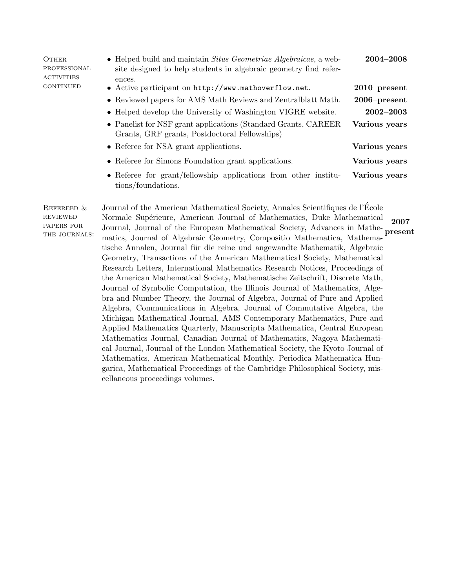| <b>OTHER</b><br>PROFESSIONAL<br><b>ACTIVITIES</b><br>CONTINUED | $\bullet$ Helped build and maintain <i>Situs Geometriae Algebraicae</i> , a web-<br>site designed to help students in algebraic geometry find refer- | $2004 - 2008$   |
|----------------------------------------------------------------|------------------------------------------------------------------------------------------------------------------------------------------------------|-----------------|
|                                                                | ences.<br>• Active participant on http://www.mathoverflow.net.                                                                                       | $2010$ -present |
|                                                                | • Reviewed papers for AMS Math Reviews and Zentralblatt Math.                                                                                        | $2006$ -present |
|                                                                | • Helped develop the University of Washington VIGRE website.                                                                                         | $2002 - 2003$   |
|                                                                | • Panelist for NSF grant applications (Standard Grants, CAREER<br>Grants, GRF grants, Postdoctoral Fellowships)                                      | Various years   |
|                                                                | • Referee for NSA grant applications.                                                                                                                | Various years   |
|                                                                | • Referee for Simons Foundation grant applications.                                                                                                  | Various years   |
|                                                                | • Referee for grant/fellowship applications from other institu-<br>tions/foundations.                                                                | Various years   |

Refereed & reviewed papers for THE JOURNALS: Journal of the American Mathematical Society, Annales Scientifiques de l'Ecole ´ Normale Supérieure, American Journal of Mathematics, Duke Mathematical Journal, Journal of the European Mathematical Society, Advances in Mathematics, Journal of Algebraic Geometry, Compositio Mathematica, Mathematische Annalen, Journal für die reine und angewandte Mathematik, Algebraic Geometry, Transactions of the American Mathematical Society, Mathematical Research Letters, International Mathematics Research Notices, Proceedings of the American Mathematical Society, Mathematische Zeitschrift, Discrete Math, Journal of Symbolic Computation, the Illinois Journal of Mathematics, Algebra and Number Theory, the Journal of Algebra, Journal of Pure and Applied Algebra, Communications in Algebra, Journal of Commutative Algebra, the Michigan Mathematical Journal, AMS Contemporary Mathematics, Pure and Applied Mathematics Quarterly, Manuscripta Mathematica, Central European Mathematics Journal, Canadian Journal of Mathematics, Nagoya Mathematical Journal, Journal of the London Mathematical Society, the Kyoto Journal of Mathematics, American Mathematical Monthly, Periodica Mathematica Hungarica, Mathematical Proceedings of the Cambridge Philosophical Society, miscellaneous proceedings volumes. 2007– present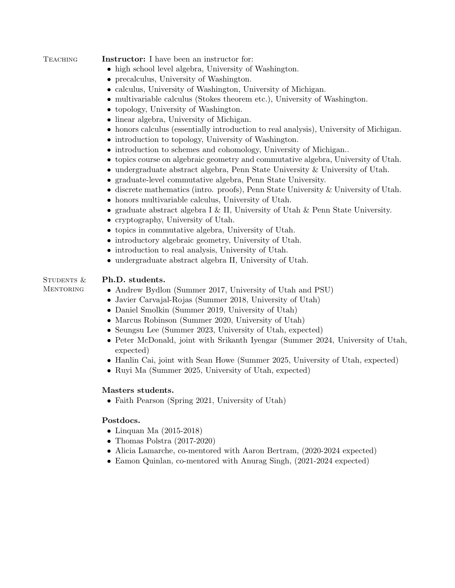TEACHING **Instructor:** I have been an instructor for:

- high school level algebra, University of Washington.
- precalculus, University of Washington.
- calculus, University of Washington, University of Michigan.
- multivariable calculus (Stokes theorem etc.), University of Washington.
- topology, University of Washington.
- linear algebra, University of Michigan.
- honors calculus (essentially introduction to real analysis), University of Michigan.
- introduction to topology, University of Washington.
- introduction to schemes and cohomology, University of Michigan..
- topics course on algebraic geometry and commutative algebra, University of Utah.
- undergraduate abstract algebra, Penn State University & University of Utah.
- graduate-level commutative algebra, Penn State University.
- discrete mathematics (intro. proofs), Penn State University & University of Utah.
- honors multivariable calculus, University of Utah.
- graduate abstract algebra I & II, University of Utah & Penn State University.
- cryptography, University of Utah.
- topics in commutative algebra, University of Utah.
- introductory algebraic geometry, University of Utah.
- introduction to real analysis, University of Utah.
- undergraduate abstract algebra II, University of Utah.

#### STUDENTS & **MENTORING** Ph.D. students.

- Andrew Bydlon (Summer 2017, University of Utah and PSU)
- Javier Carvajal-Rojas (Summer 2018, University of Utah)
- Daniel Smolkin (Summer 2019, University of Utah)
- Marcus Robinson (Summer 2020, University of Utah)
- Seungsu Lee (Summer 2023, University of Utah, expected)
- Peter McDonald, joint with Srikanth Iyengar (Summer 2024, University of Utah, expected)
- Hanlin Cai, joint with Sean Howe (Summer 2025, University of Utah, expected)
- Ruyi Ma (Summer 2025, University of Utah, expected)

# Masters students.

• Faith Pearson (Spring 2021, University of Utah)

# Postdocs.

- Linquan Ma (2015-2018)
- Thomas Polstra (2017-2020)
- Alicia Lamarche, co-mentored with Aaron Bertram, (2020-2024 expected)
- Eamon Quinlan, co-mentored with Anurag Singh, (2021-2024 expected)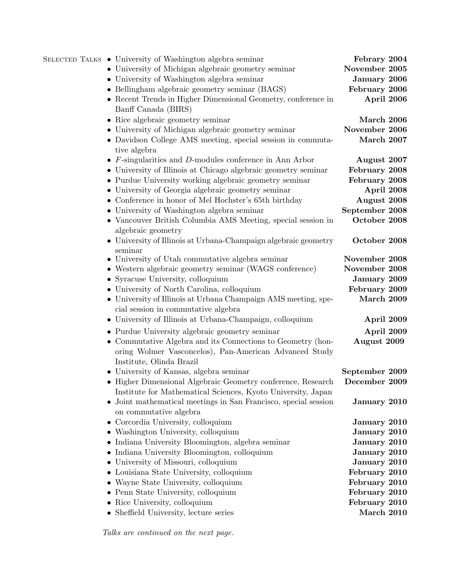| SELECTED TALKS • University of Washington algebra seminar                       | Febrary 2004   |
|---------------------------------------------------------------------------------|----------------|
| • University of Michigan algebraic geometry seminar                             | November 2005  |
| • University of Washington algebra seminar                                      | January 2006   |
| • Bellingham algebraic geometry seminar (BAGS)                                  | February 2006  |
| • Recent Trends in Higher Dimensional Geometry, conference in                   | April 2006     |
| Banff Canada (BIRS)                                                             |                |
| • Rice algebraic geometry seminar                                               | March 2006     |
| • University of Michigan algebraic geometry seminar                             | November 2006  |
| • Davidson College AMS meeting, special session in commuta-                     | March 2007     |
| tive algebra                                                                    |                |
| $\bullet$ <i>F</i> -singularities and <i>D</i> -modules conference in Ann Arbor | August 2007    |
| • University of Illinois at Chicago algebraic geometry seminar                  | February 2008  |
| • Purdue University working algebraic geometry seminar                          | February 2008  |
| • University of Georgia algebraic geometry seminar                              | April 2008     |
| • Conference in honor of Mel Hochster's 65th birthday                           | August 2008    |
| • University of Washington algebra seminar                                      | September 2008 |
| • Vancouver British Columbia AMS Meeting, special session in                    | October 2008   |
| algebraic geometry                                                              |                |
| • University of Illinois at Urbana-Champaign algebraic geometry                 | October 2008   |
| seminar                                                                         |                |
| • University of Utah commutative algebra seminar                                | November 2008  |
| • Western algebraic geometry seminar (WAGS conference)                          | November 2008  |
| • Syracuse University, colloquium                                               | January 2009   |
| • University of North Carolina, colloquium                                      | February 2009  |
| • University of Illinois at Urbana Champaign AMS meeting, spe-                  | March 2009     |
| cial session in commutative algebra                                             |                |
| • University of Illinois at Urbana-Champaign, colloquium                        | April 2009     |
| • Purdue University algebraic geometry seminar                                  | April 2009     |
| • Commutative Algebra and its Connections to Geometry (hon-                     | August 2009    |
| oring Wolmer Vasconcelos), Pan-American Advanced Study                          |                |
| Institute, Olinda Brazil                                                        |                |
| • University of Kansas, algebra seminar                                         | September 2009 |
| • Higher Dimensional Algebraic Geometry conference, Research                    | December 2009  |
| Institute for Mathematical Sciences, Kyoto University, Japan                    |                |
| Joint mathematical meetings in San Francisco, special session                   | January 2010   |
| on commutative algebra                                                          |                |
| • Corcordia University, colloquium                                              | January 2010   |
| • Washington University, colloquium                                             | January 2010   |
| • Indiana University Bloomington, algebra seminar                               | January 2010   |
| • Indiana University Bloomington, colloquium                                    | January 2010   |
| University of Missouri, colloquium                                              | January 2010   |
| • Louisiana State University, colloquium                                        | February 2010  |
| Wayne State University, colloquium                                              | February 2010  |
| • Penn State University, colloquium                                             | February 2010  |
| • Rice University, colloquium                                                   | February 2010  |
| • Sheffield University, lecture series                                          | March 2010     |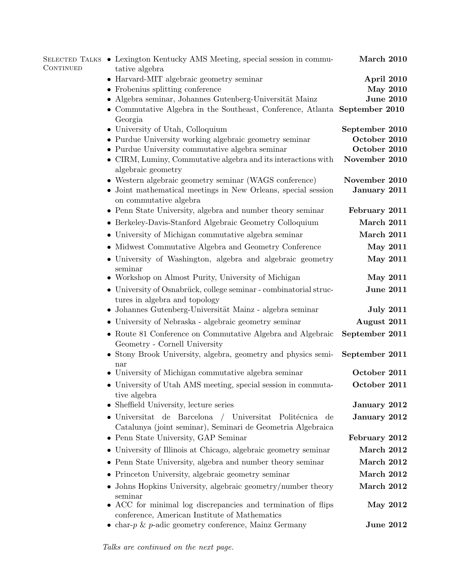| CONTINUED | SELECTED TALKS • Lexington Kentucky AMS Meeting, special session in commu-<br>tative algebra                                      | March 2010       |
|-----------|-----------------------------------------------------------------------------------------------------------------------------------|------------------|
|           | • Harvard-MIT algebraic geometry seminar                                                                                          | April 2010       |
|           | • Frobenius splitting conference                                                                                                  | <b>May 2010</b>  |
|           | Algebra seminar, Johannes Gutenberg-Universität Mainz                                                                             | <b>June 2010</b> |
|           | • Commutative Algebra in the Southeast, Conference, Atlanta September 2010<br>Georgia                                             |                  |
|           | • University of Utah, Colloquium                                                                                                  | September 2010   |
|           | • Purdue University working algebraic geometry seminar                                                                            | October 2010     |
|           | • Purdue University commutative algebra seminar                                                                                   | October 2010     |
|           | • CIRM, Luminy, Commutative algebra and its interactions with<br>algebraic geometry                                               | November 2010    |
|           | • Western algebraic geometry seminar (WAGS conference)                                                                            | November 2010    |
|           | • Joint mathematical meetings in New Orleans, special session<br>on commutative algebra                                           | January 2011     |
|           | $\bullet\,$ Penn State University, algebra and number theory seminar                                                              | February 2011    |
|           | • Berkeley-Davis-Stanford Algebraic Geometry Colloquium                                                                           | March 2011       |
|           | • University of Michigan commutative algebra seminar                                                                              | March 2011       |
|           | • Midwest Commutative Algebra and Geometry Conference                                                                             | <b>May 2011</b>  |
|           | · University of Washington, algebra and algebraic geometry<br>seminar                                                             | <b>May 2011</b>  |
|           | Workshop on Almost Purity, University of Michigan                                                                                 | <b>May 2011</b>  |
|           | • University of Osnabrück, college seminar - combinatorial struc-<br>tures in algebra and topology                                | <b>June 2011</b> |
|           | • Johannes Gutenberg-Universität Mainz - algebra seminar                                                                          | <b>July 2011</b> |
|           | • University of Nebraska - algebraic geometry seminar                                                                             | August 2011      |
|           | • Route 81 Conference on Commutative Algebra and Algebraic<br>Geometry - Cornell University                                       | September 2011   |
|           | • Stony Brook University, algebra, geometry and physics semi-<br>nar                                                              | September 2011   |
|           | • University of Michigan commutative algebra seminar                                                                              | October 2011     |
|           | • University of Utah AMS meeting, special session in commuta-<br>tive algebra                                                     | October 2011     |
|           | Sheffield University, lecture series<br>$\bullet$                                                                                 | January 2012     |
|           | $\bullet$ Universitat de Barcelona / Universitat<br>Politécnica de<br>Catalunya (joint seminar), Seminari de Geometria Algebraica | January 2012     |
|           | Penn State University, GAP Seminar                                                                                                | February 2012    |
|           | • University of Illinois at Chicago, algebraic geometry seminar                                                                   | March 2012       |
|           | • Penn State University, algebra and number theory seminar                                                                        | March 2012       |
|           | • Princeton University, algebraic geometry seminar                                                                                | March 2012       |
|           | • Johns Hopkins University, algebraic geometry/number theory                                                                      | March 2012       |
|           | seminar<br>• ACC for minimal log discrepancies and termination of flips                                                           | May 2012         |
|           | conference, American Institute of Mathematics                                                                                     |                  |
|           | • char- $p$ & $p$ -adic geometry conference, Mainz Germany                                                                        | <b>June 2012</b> |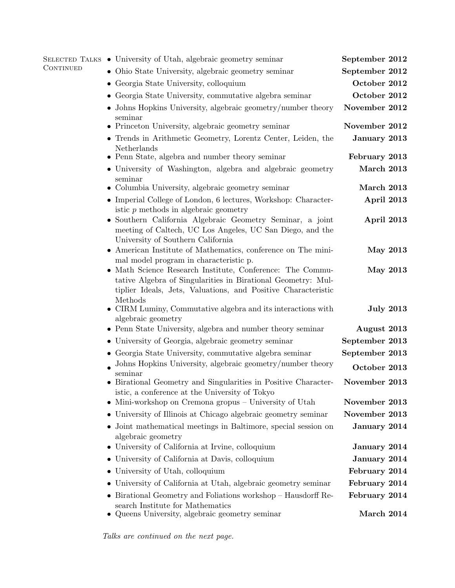|                  | SELECTED TALKS • University of Utah, algebraic geometry seminar                                                                                                                            | September 2012              |
|------------------|--------------------------------------------------------------------------------------------------------------------------------------------------------------------------------------------|-----------------------------|
| <b>CONTINUED</b> | Ohio State University, algebraic geometry seminar                                                                                                                                          | September 2012              |
|                  | • Georgia State University, colloquium                                                                                                                                                     | October 2012                |
|                  | Georgia State University, commutative algebra seminar                                                                                                                                      | October 2012                |
|                  | • Johns Hopkins University, algebraic geometry/number theory<br>seminar                                                                                                                    | November 2012               |
|                  | • Princeton University, algebraic geometry seminar                                                                                                                                         | November 2012               |
|                  | • Trends in Arithmetic Geometry, Lorentz Center, Leiden, the<br>Netherlands                                                                                                                | January 2013                |
|                  | • Penn State, algebra and number theory seminar                                                                                                                                            | February 2013               |
|                  | • University of Washington, algebra and algebraic geometry<br>seminar                                                                                                                      | March 2013                  |
|                  | • Columbia University, algebraic geometry seminar                                                                                                                                          | March 2013                  |
|                  | • Imperial College of London, 6 lectures, Workshop: Character-<br>istic $p$ methods in algebraic geometry                                                                                  | April 2013                  |
|                  | Southern California Algebraic Geometry Seminar, a joint<br>meeting of Caltech, UC Los Angeles, UC San Diego, and the<br>University of Southern California                                  | April 2013                  |
|                  | • American Institute of Mathematics, conference on The mini-<br>mal model program in characteristic p.                                                                                     | <b>May 2013</b>             |
|                  | • Math Science Research Institute, Conference: The Commu-<br>tative Algebra of Singularities in Birational Geometry: Mul-<br>tiplier Ideals, Jets, Valuations, and Positive Characteristic | <b>May 2013</b>             |
|                  | Methods<br>CIRM Luminy, Commutative algebra and its interactions with<br>algebraic geometry                                                                                                | <b>July 2013</b>            |
|                  | • Penn State University, algebra and number theory seminar                                                                                                                                 | August 2013                 |
|                  | • University of Georgia, algebraic geometry seminar                                                                                                                                        | September 2013              |
|                  | • Georgia State University, commutative algebra seminar                                                                                                                                    | September 2013              |
|                  | Johns Hopkins University, algebraic geometry/number theory<br>seminar                                                                                                                      | October 2013                |
|                  | • Birational Geometry and Singularities in Positive Character-<br>istic, a conference at the University of Tokyo                                                                           | November 2013               |
|                  | Mini-workshop on Cremona gropus – University of Utah                                                                                                                                       | November 2013               |
|                  | University of Illinois at Chicago algebraic geometry seminar                                                                                                                               | November 2013               |
|                  | • Joint mathematical meetings in Baltimore, special session on<br>algebraic geometry                                                                                                       | January 2014                |
|                  | University of California at Irvine, colloquium                                                                                                                                             | January 2014                |
|                  | University of California at Davis, colloquium                                                                                                                                              | January 2014                |
|                  | University of Utah, colloquium<br>$\bullet$                                                                                                                                                | February 2014               |
|                  | University of California at Utah, algebraic geometry seminar                                                                                                                               | February 2014               |
|                  | Birational Geometry and Foliations workshop – Hausdorff Re-<br>search Institute for Mathematics<br>Queens University, algebraic geometry seminar                                           | February 2014<br>March 2014 |
|                  |                                                                                                                                                                                            |                             |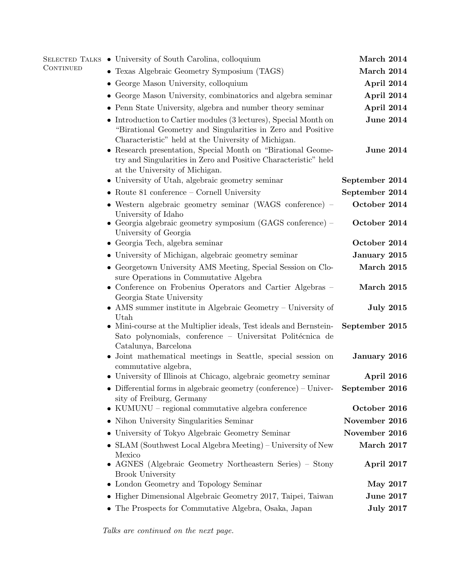| CONTINUED | SELECTED TALKS • University of South Carolina, colloquium                                                                                                                                | March 2014                   |
|-----------|------------------------------------------------------------------------------------------------------------------------------------------------------------------------------------------|------------------------------|
|           | • Texas Algebraic Geometry Symposium (TAGS)                                                                                                                                              | March 2014                   |
|           | • George Mason University, colloquium                                                                                                                                                    | April 2014                   |
|           | • George Mason University, combinatorics and algebra seminar                                                                                                                             | April 2014                   |
|           | • Penn State University, algebra and number theory seminar                                                                                                                               | April 2014                   |
|           | • Introduction to Cartier modules $(3$ lectures), Special Month on<br>"Birational Geometry and Singularities in Zero and Positive<br>Characteristic" held at the University of Michigan. | <b>June 2014</b>             |
|           | • Research presentation, Special Month on "Birational Geome-<br>try and Singularities in Zero and Positive Characteristic" held<br>at the University of Michigan.                        | <b>June 2014</b>             |
|           | • University of Utah, algebraic geometry seminar                                                                                                                                         | September 2014               |
|           | $\bullet$ Route 81 conference – Cornell University                                                                                                                                       | September 2014               |
|           | • Western algebraic geometry seminar (WAGS conference) $-$<br>University of Idaho<br>• Georgia algebraic geometry symposium $(GAGS)$ conference) –                                       | October 2014<br>October 2014 |
|           | University of Georgia                                                                                                                                                                    |                              |
|           | $\bullet$ Georgia Tech, algebra seminar                                                                                                                                                  | October 2014                 |
|           | • University of Michigan, algebraic geometry seminar                                                                                                                                     | January 2015                 |
|           | • Georgetown University AMS Meeting, Special Session on Clo-<br>sure Operations in Commutative Algebra                                                                                   | March 2015                   |
|           | • Conference on Frobenius Operators and Cartier Algebras -<br>Georgia State University                                                                                                   | March 2015                   |
|           | • AMS summer institute in Algebraic Geometry – University of                                                                                                                             | <b>July 2015</b>             |
|           | Utah<br>• Mini-course at the Multiplier ideals, Test ideals and Bernstein-<br>Sato polynomials, conference – Universitat Politécnica de<br>Catalunya, Barcelona                          | September 2015               |
|           | • Joint mathematical meetings in Seattle, special session on<br>commutative algebra,                                                                                                     | January 2016                 |
|           | • University of Illinois at Chicago, algebraic geometry seminar                                                                                                                          | April 2016                   |
|           | Differential forms in algebraic geometry (conference) – Univer- September 2016<br>sity of Freiburg, Germany                                                                              |                              |
|           | $\bullet$ KUMUNU – regional commutative algebra conference                                                                                                                               | October 2016                 |
|           | • Nihon University Singularities Seminar                                                                                                                                                 | November 2016                |
|           | • University of Tokyo Algebraic Geometry Seminar                                                                                                                                         | November 2016                |
|           | • SLAM (Southwest Local Algebra Meeting) – University of New<br>Mexico                                                                                                                   | March 2017                   |
|           | • AGNES (Algebraic Geometry Northeastern Series) – Stony<br><b>Brook University</b>                                                                                                      | April 2017                   |
|           | • London Geometry and Topology Seminar                                                                                                                                                   | <b>May 2017</b>              |
|           | • Higher Dimensional Algebraic Geometry 2017, Taipei, Taiwan                                                                                                                             | <b>June 2017</b>             |
|           | • The Prospects for Commutative Algebra, Osaka, Japan                                                                                                                                    | <b>July 2017</b>             |